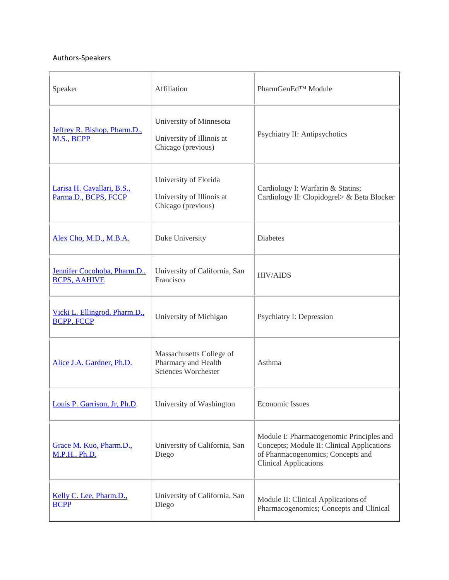## Authors-Speakers

| Speaker                                             | Affiliation                                                                   | PharmGenEd <sup>TM</sup> Module                                                                                                                             |
|-----------------------------------------------------|-------------------------------------------------------------------------------|-------------------------------------------------------------------------------------------------------------------------------------------------------------|
| Jeffrey R. Bishop, Pharm.D.,<br>M.S., BCPP          | University of Minnesota<br>University of Illinois at<br>Chicago (previous)    | Psychiatry II: Antipsychotics                                                                                                                               |
| Larisa H. Cavallari, B.S.,<br>Parma.D., BCPS, FCCP  | University of Florida<br>University of Illinois at<br>Chicago (previous)      | Cardiology I: Warfarin & Statins;<br>Cardiology II: Clopidogrel> & Beta Blocker                                                                             |
| Alex Cho, M.D., M.B.A.                              | Duke University                                                               | <b>Diabetes</b>                                                                                                                                             |
| Jennifer Cocohoba, Pharm.D.,<br><b>BCPS, AAHIVE</b> | University of California, San<br>Francisco                                    | <b>HIV/AIDS</b>                                                                                                                                             |
| Vicki L. Ellingrod, Pharm.D.,<br><b>BCPP, FCCP</b>  | University of Michigan                                                        | <b>Psychiatry I: Depression</b>                                                                                                                             |
| Alice J.A. Gardner, Ph.D.                           | Massachusetts College of<br>Pharmacy and Health<br><b>Sciences Worchester</b> | Asthma                                                                                                                                                      |
| Louis P. Garrison, Jr, Ph.D.                        | University of Washington                                                      | <b>Economic Issues</b>                                                                                                                                      |
| Grace M. Kuo, Pharm.D.,<br>M.P.H., Ph.D.            | University of California, San<br>Diego                                        | Module I: Pharmacogenomic Principles and<br>Concepts; Module II: Clinical Applications<br>of Pharmacogenomics; Concepts and<br><b>Clinical Applications</b> |
| Kelly C. Lee, Pharm.D.,<br><b>BCPP</b>              | University of California, San<br>Diego                                        | Module II: Clinical Applications of<br>Pharmacogenomics; Concepts and Clinical                                                                              |